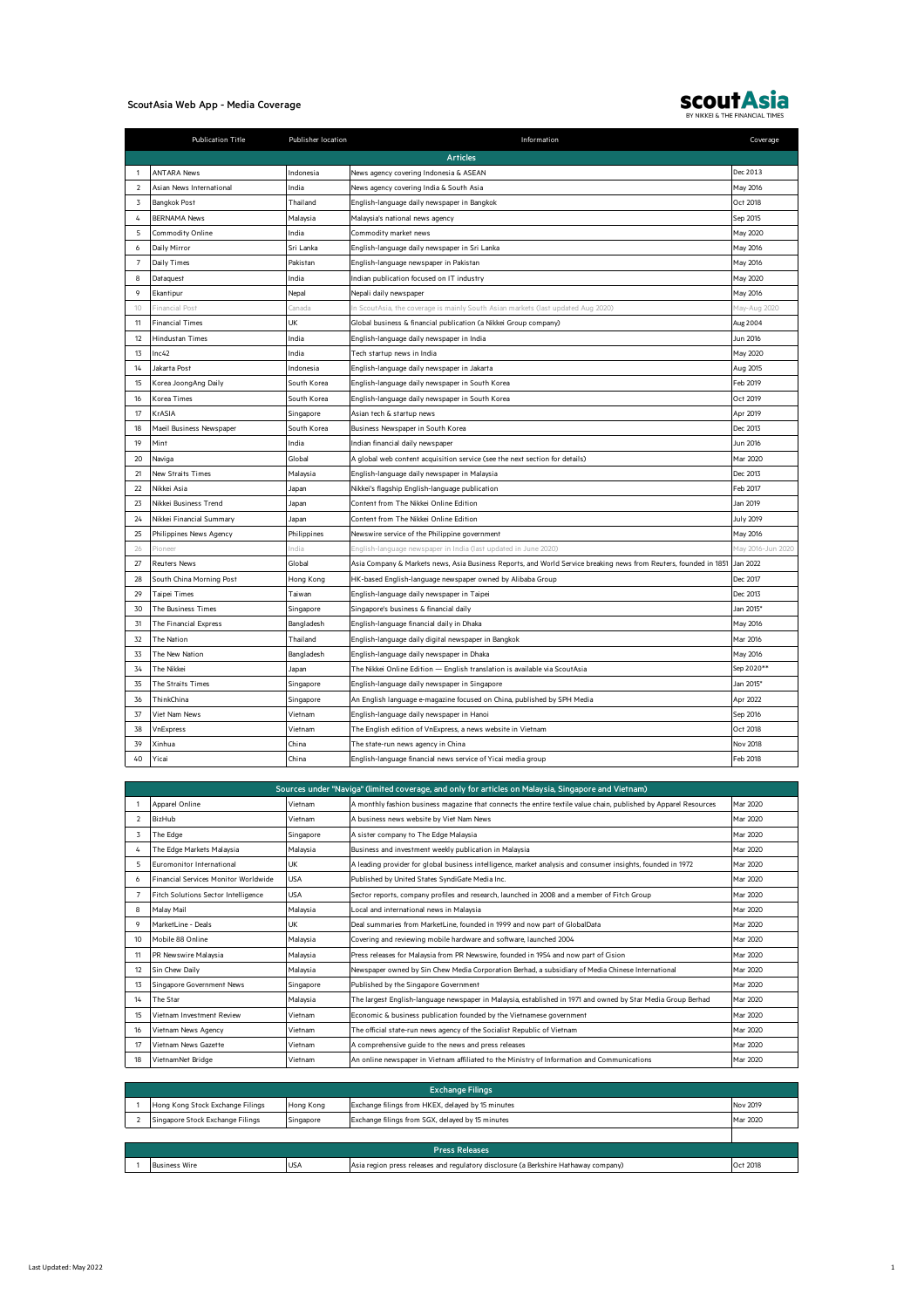## ScoutAsia Web App - Media Coverage



|                | <b>Publication Title</b> | Publisher location | Information                                                                                                       | Coverage          |
|----------------|--------------------------|--------------------|-------------------------------------------------------------------------------------------------------------------|-------------------|
|                |                          |                    | <b>Articles</b>                                                                                                   |                   |
| $\mathbf{1}$   | <b>ANTARA News</b>       | Indonesia          | News agency covering Indonesia & ASEAN                                                                            | Dec 2013          |
| $\overline{2}$ | Asian News International | India              | News agency covering India & South Asia                                                                           | May 2016          |
| 3              | Bangkok Post             | Thailand           | English-language daily newspaper in Bangkok                                                                       | Oct 2018          |
| 4              | <b>BERNAMA News</b>      | Malaysia           | Malaysia's national news agency                                                                                   | Sep 2015          |
| 5              | Commodity Online         | India              | Commodity market news                                                                                             | May 2020          |
| 6              | Daily Mirror             | Sri Lanka          | English-language daily newspaper in Sri Lanka                                                                     | May 2016          |
| $\overline{7}$ | Daily Times              | Pakistan           | English-language newspaper in Pakistan                                                                            | May 2016          |
| 8              | Dataquest                | India              | Indian publication focused on IT industry                                                                         | May 2020          |
| 9              | Ekantipur                | Nepal              | Nepali daily newspaper                                                                                            | May 2016          |
| 10             | <b>Financial Post</b>    | Canada             | n ScoutAsia, the coverage is mainly South Asian markets (last updated Aug 2020)                                   | May-Aug 2020      |
| 11             | <b>Financial Times</b>   | UK                 | Global business & financial publication (a Nikkei Group company)                                                  | Aug 2004          |
| 12             | <b>Hindustan Times</b>   | India              | English-language daily newspaper in India                                                                         | Jun 2016          |
| 13             | Inc42                    | India              | Tech startup news in India                                                                                        | May 2020          |
| 14             | Jakarta Post             | Indonesia          | English-language daily newspaper in Jakarta                                                                       | Aug 2015          |
| 15             | Korea JoongAng Daily     | South Korea        | English-language daily newspaper in South Korea                                                                   | Feb 2019          |
| 16             | Korea Times              | South Korea        | English-language daily newspaper in South Korea                                                                   | Oct 2019          |
| 17             | KrASIA                   | Singapore          | Asian tech & startup news                                                                                         | Apr 2019          |
| 18             | Maeil Business Newspaper | South Korea        | Business Newspaper in South Korea                                                                                 | Dec 2013          |
| 19             | Mint                     | India              | Indian financial daily newspaper                                                                                  | Jun 2016          |
| 20             | Naviga                   | Global             | A global web content acquisition service (see the next section for details)                                       | Mar 2020          |
| 21             | New Straits Times        | Malaysia           | English-language daily newspaper in Malaysia                                                                      | Dec 2013          |
| 22             | Nikkei Asia              | Japan              | Nikkei's flagship English-language publication                                                                    | Feb 2017          |
| 23             | Nikkei Business Trend    | Japan              | Content from The Nikkei Online Edition                                                                            | Jan 2019          |
| 24             | Nikkei Financial Summary | Japan              | Content from The Nikkei Online Edition                                                                            | <b>July 2019</b>  |
| 25             | Philippines News Agency  | Philippines        | Newswire service of the Philippine government                                                                     | May 2016          |
| 26             | Pioneer                  | India              | English-language newspaper in India (last updated in June 2020)                                                   | May 2016-Jun 2020 |
| 27             | <b>Reuters News</b>      | Global             | Asia Company & Markets news, Asia Business Reports, and World Service breaking news from Reuters, founded in 1851 | Jan 2022          |
| 28             | South China Morning Post | Hong Kong          | HK-based English-language newspaper owned by Alibaba Group                                                        | Dec 2017          |
| 29             | <b>Taipei Times</b>      | Taiwan             | English-language daily newspaper in Taipei                                                                        | Dec 2013          |
| 30             | The Business Times       | Singapore          | Singapore's business & financial daily                                                                            | Jan 2015*         |
| 31             | The Financial Express    | Bangladesh         | English-language financial daily in Dhaka                                                                         | May 2016          |
| 32             | The Nation               | Thailand           | English-language daily digital newspaper in Bangkok                                                               | Mar 2016          |
| 33             | The New Nation           | Bangladesh         | English-language daily newspaper in Dhaka                                                                         | May 2016          |
| 34             | The Nikkei               | Japan              | The Nikkei Online Edition - English translation is available via ScoutAsia                                        | Sep 2020**        |
| 35             | The Straits Times        | Singapore          | English-language daily newspaper in Singapore                                                                     | Jan 2015*         |
| 36             | ThinkChina               | Singapore          | An English language e-magazine focused on China, published by SPH Media                                           | Apr 2022          |
| 37             | Viet Nam News            | Vietnam            | English-language daily newspaper in Hanoi                                                                         | Sep 2016          |
| 38             | VnExpress                | Vietnam            | The English edition of VnExpress, a news website in Vietnam                                                       | Oct 2018          |
| 39             | Xinhua                   | China              | The state-run news agency in China                                                                                | Nov 2018          |
| 40             | Yicai                    | China              | English-language financial news service of Yicai media group                                                      | Feb 2018          |

| Sources under "Naviga" (limited coverage, and only for articles on Malaysia, Singapore and Vietnam) |                                             |            |                                                                                                                  |          |
|-----------------------------------------------------------------------------------------------------|---------------------------------------------|------------|------------------------------------------------------------------------------------------------------------------|----------|
|                                                                                                     | Apparel Online                              | Vietnam    | A monthly fashion business magazine that connects the entire textile value chain, published by Apparel Resources | Mar 2020 |
| $\overline{2}$                                                                                      | BizHub                                      | Vietnam    | A business news website by Viet Nam News                                                                         | Mar 2020 |
| 3                                                                                                   | The Edge                                    | Singapore  | A sister company to The Edge Malaysia                                                                            | Mar 2020 |
| 4                                                                                                   | The Edge Markets Malaysia                   | Malaysia   | Business and investment weekly publication in Malaysia                                                           | Mar 2020 |
| 5                                                                                                   | <b>Euromonitor International</b>            | <b>UK</b>  | A leading provider for global business intelligence, market analysis and consumer insights, founded in 1972      | Mar 2020 |
| 6                                                                                                   | <b>Financial Services Monitor Worldwide</b> | <b>USA</b> | Published by United States SyndiGate Media Inc.                                                                  | Mar 2020 |
|                                                                                                     | Fitch Solutions Sector Intelligence         | <b>USA</b> | Sector reports, company profiles and research, launched in 2008 and a member of Fitch Group                      | Mar 2020 |
| 8                                                                                                   | Malav Mail                                  | Malavsia   | Local and international news in Malaysia                                                                         | Mar 2020 |
| $\circ$                                                                                             | MarketLine - Deals                          | <b>UK</b>  | Deal summaries from MarketLine, founded in 1999 and now part of GlobalData                                       | Mar 2020 |
| 10                                                                                                  | Mobile 88 Online                            | Malaysia   | Covering and reviewing mobile hardware and software, launched 2004                                               | Mar 2020 |
| 11                                                                                                  | PR Newswire Malaysia                        | Malaysia   | Press releases for Malaysia from PR Newswire, founded in 1954 and now part of Cision                             | Mar 2020 |
| 12                                                                                                  | Sin Chew Daily                              | Malaysia   | Newspaper owned by Sin Chew Media Corporation Berhad, a subsidiary of Media Chinese International                | Mar 2020 |
| 13                                                                                                  | Singapore Government News                   | Singapore  | Published by the Singapore Government                                                                            | Mar 2020 |
| 14                                                                                                  | The Star                                    | Malavsia   | The largest English-language newspaper in Malaysia, established in 1971 and owned by Star Media Group Berhad     | Mar 2020 |
| 15                                                                                                  | Vietnam Investment Review                   | Vietnam    | Economic & business publication founded by the Vietnamese government                                             | Mar 2020 |
| 16                                                                                                  | Vietnam News Agency                         | Vietnam    | The official state-run news agency of the Socialist Republic of Vietnam                                          | Mar 2020 |
| 17                                                                                                  | Vietnam News Gazette                        | Vietnam    | A comprehensive guide to the news and press releases                                                             | Mar 2020 |
| 18                                                                                                  | VietnamNet Bridge                           | Vietnam    | An online newspaper in Vietnam affiliated to the Ministry of Information and Communications                      | Mar 2020 |

|                       | <b>Exchange Filings</b>          |            |                                                                                     |          |
|-----------------------|----------------------------------|------------|-------------------------------------------------------------------------------------|----------|
|                       | Hong Kong Stock Exchange Filings | Hong Kong  | Exchange filings from HKEX, delayed by 15 minutes                                   | Nov 2019 |
|                       | Singapore Stock Exchange Filings | Singapore  | Exchange filings from SGX, delayed by 15 minutes                                    | Mar 2020 |
|                       |                                  |            |                                                                                     |          |
| <b>Press Releases</b> |                                  |            |                                                                                     |          |
|                       | <b>Business Wire</b>             | <b>USA</b> | Asia region press releases and regulatory disclosure (a Berkshire Hathaway company) | Oct 2018 |